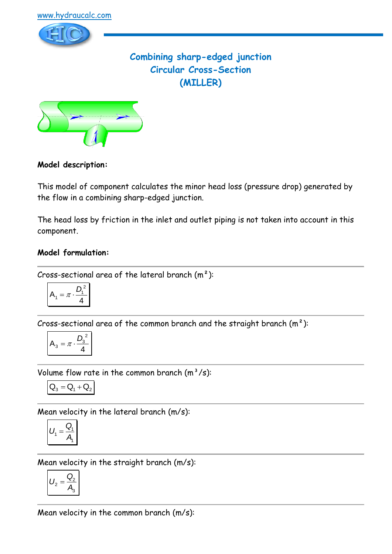

# **Combining sharp-edged junction Circular Cross-Section (MILLER)**



## **Model description:**

This model of component calculates the minor head loss (pressure drop) generated by the flow in a combining sharp-edged junction.

The head loss by friction in the inlet and outlet piping is not taken into account in this component.

## **Model formulation:**

Cross-sectional area of the lateral branch  $(m<sup>2</sup>)$ :

$$
A_1 = \pi \cdot \frac{D_1^2}{4}
$$

Cross-sectional area of the common branch and the straight branch  $(m<sup>2</sup>)$ :

$$
A_3 = \pi \cdot \frac{D_3^2}{4}
$$

Volume flow rate in the common branch  $(m^3/s)$ :

$$
\mathbf{Q}_3 = \mathbf{Q}_1 + \mathbf{Q}_2
$$

Mean velocity in the lateral branch (m/s):

$$
U_1 = \frac{Q_1}{A_1}
$$

Mean velocity in the straight branch (m/s):

$$
U_2 = \frac{Q_2}{A_3}
$$

Mean velocity in the common branch (m/s):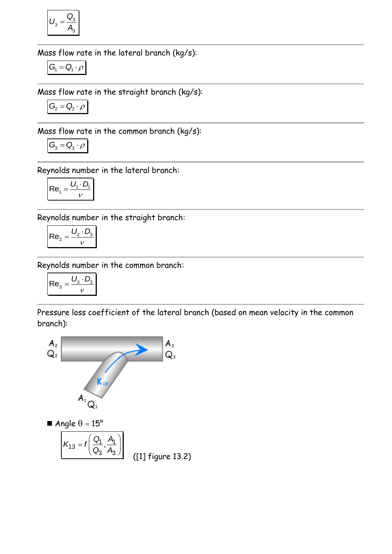$$
U_3 = \frac{Q_3}{A_3}
$$

Mass flow rate in the lateral branch (kg/s):

$$
G_{\!\scriptscriptstyle 1} = Q_{\!\scriptscriptstyle 1} \cdot \rho
$$

Mass flow rate in the straight branch (kg/s):

$$
G_2 = Q_2 \cdot \rho
$$

Mass flow rate in the common branch (kg/s):

$$
G_3 = Q_3 \cdot \rho
$$

Reynolds number in the lateral branch:

$$
Re_1 = \frac{U_1 \cdot D_1}{V}
$$

Reynolds number in the straight branch:

$$
\mathsf{Re}_2 = \frac{U_2 \cdot D_3}{v}
$$

Reynolds number in the common branch:

$$
\mathsf{Re}_3 = \frac{U_3 \cdot D_3}{\nu}
$$

Pressure loss coefficient of the lateral branch (based on mean velocity in the common branch):

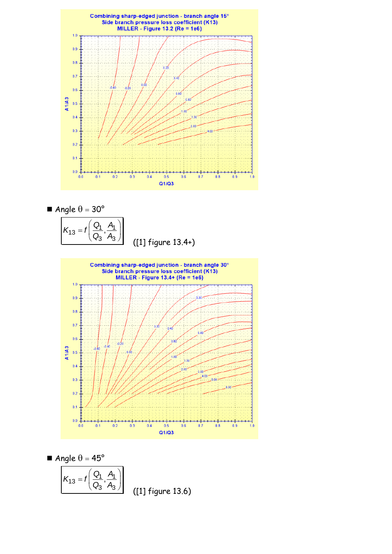

$$
\blacksquare \text{ Angle } \theta = 30^{\circ}
$$

 $\left(\begin{array}{cc} Q_1 & A_1 \end{array}\right)$  $K_{13} = f\left(\frac{Q_1}{Q_1}, \frac{A}{Q_2}\right)$  $A_3$ ,  $= f\left(\frac{Q_1}{Q_3}, \frac{H}{A_3}\right)$ ([1] figure 13.4+)



$$
\blacksquare \text{ Angle } \theta = 45^{\circ}
$$

$$
K_{13} = f\left(\frac{Q_1}{Q_3}, \frac{A_1}{A_3}\right)
$$
 (11) figure 13.6)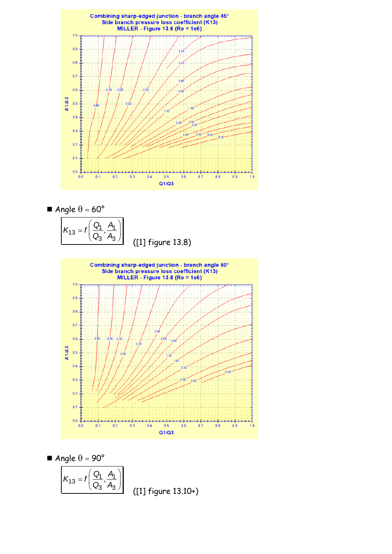![](_page_3_Figure_0.jpeg)

$$
Ande \theta = 60^{\circ}
$$

 $\left(\begin{array}{cc} Q_1 & A_1 \end{array}\right)$  $K_{13} = f\left(\frac{Q_1}{Q_1}, \frac{A}{Q_2}\right)$  $A_3$ ,  $= f\left(\frac{Q_1}{Q_3}, \frac{H}{A_3}\right)$ ([1] figure 13.8)

![](_page_3_Figure_3.jpeg)

$$
\blacksquare \text{ Angle } \theta = 90^{\circ}
$$

$$
K_{13} = f\left(\frac{Q_1}{Q_3}, \frac{A_1}{A_3}\right)
$$

([1] figure 13.10+)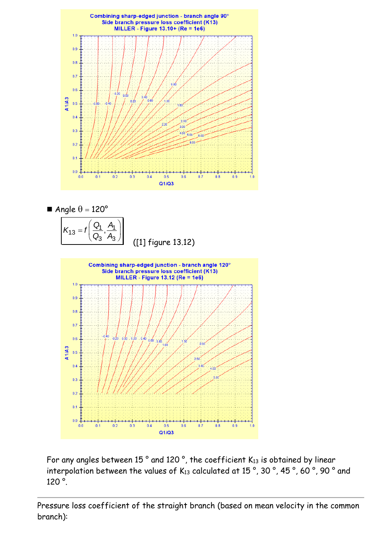![](_page_4_Figure_0.jpeg)

![](_page_4_Figure_1.jpeg)

![](_page_4_Figure_2.jpeg)

![](_page_4_Figure_3.jpeg)

For any angles between 15 $^{\circ}$  and 120 $^{\circ}$ , the coefficient K<sub>13</sub> is obtained by linear interpolation between the values of K13 calculated at 15°, 30°, 45°, 60°, 90° and 120 °.

Pressure loss coefficient of the straight branch (based on mean velocity in the common branch):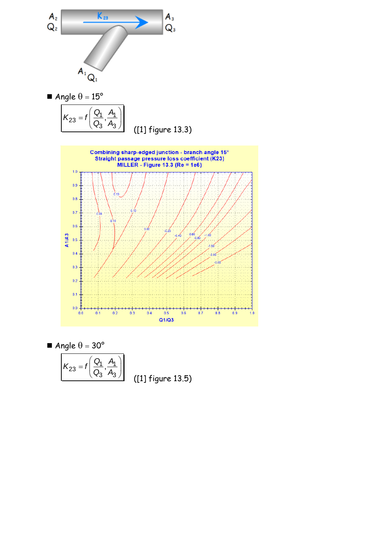![](_page_5_Figure_0.jpeg)

![](_page_5_Figure_1.jpeg)

![](_page_5_Figure_2.jpeg)

Angle  $\theta = 30^{\circ}$ 

![](_page_5_Figure_4.jpeg)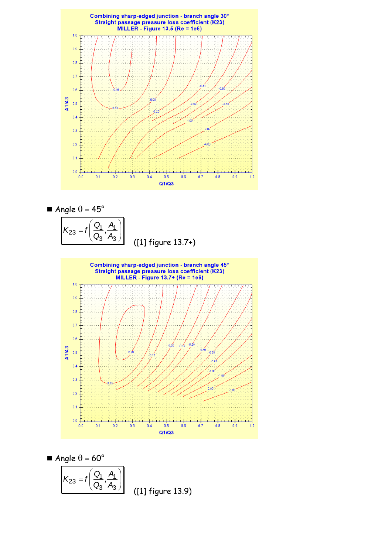![](_page_6_Figure_0.jpeg)

$$
And be \theta = 45^{\circ}
$$

![](_page_6_Figure_2.jpeg)

![](_page_6_Figure_3.jpeg)

$$
\blacksquare \text{ Angle } \theta = 60^{\circ}
$$

$$
K_{23} = f\left(\frac{Q_1}{Q_3}, \frac{A_1}{A_3}\right) \tag{11}
$$

 $figure 13.9)$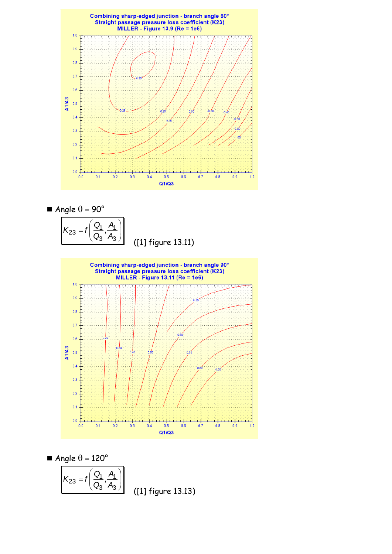![](_page_7_Figure_0.jpeg)

$$
\blacksquare
$$
 Angle  $\theta = 90^\circ$ 

 $\left(\begin{array}{cc} Q_1 & A_1 \end{array}\right)$  $K_{23} = f\left(\frac{Q_1}{Q_1}, \frac{A_2}{Q_2}\right)$  $\overline{A}_3$ ,  $= f\left(\frac{Q_1}{Q_3}, \frac{H}{A_3}\right)$ ([1] figure 13.11)

![](_page_7_Figure_3.jpeg)

$$
\blacksquare \text{ Angle } \theta = 120^{\circ}
$$

$$
K_{23} = f\left(\frac{Q_1}{Q_3}, \frac{A_1}{A_3}\right)
$$

([1] figure 13.13)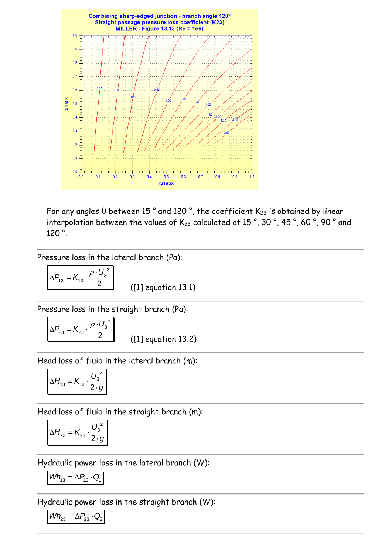![](_page_8_Figure_0.jpeg)

For any angles  $\theta$  between 15 ° and 120 °, the coefficient K<sub>23</sub> is obtained by linear interpolation between the values of K<sub>23</sub> calculated at 15°, 30°, 45°, 60°, 90° and 120 °.

Pressure loss in the lateral branch (Pa):

$$
\Delta P_{13} = K_{13} \cdot \frac{\rho \cdot U_3^2}{2}
$$

([1] equation 13.1)

Pressure loss in the straight branch (Pa):

$$
\Delta P_{23} = K_{23} \cdot \frac{\rho \cdot U_3^2}{2}
$$

([1] equation 13.2)

Head loss of fluid in the lateral branch (m):

$$
\Delta H_{13} = K_{13} \cdot \frac{U_3^2}{2 \cdot g}
$$

Head loss of fluid in the straight branch (m):

$$
\Delta H_{23} = K_{23} \cdot \frac{U_3^2}{2 \cdot g}
$$

Hydraulic power loss in the lateral branch (W):

$$
Wh_{13} = \Delta P_{13} \cdot Q_1
$$

Hydraulic power loss in the straight branch (W):

$$
\textit{Wh}_{23} = \Delta P_{23} \cdot Q_2
$$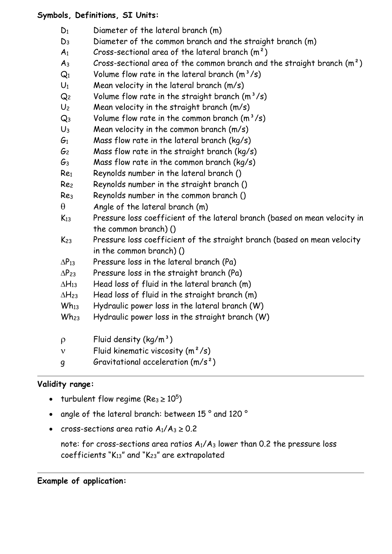#### **Symbols, Definitions, SI Units:**

- $D_1$  Diameter of the lateral branch  $(m)$
- D<sup>3</sup> Diameter of the common branch and the straight branch (m)
- $A_1$  Cross-sectional area of the lateral branch  $(m^2)$
- $A_3$  Cross-sectional area of the common branch and the straight branch  $(m^2)$
- $Q_1$  Volume flow rate in the lateral branch  $(m^3/s)$
- $U_1$  Mean velocity in the lateral branch  $(m/s)$
- $Q_2$  Volume flow rate in the straight branch  $(m^3/s)$
- $U_2$  Mean velocity in the straight branch  $(m/s)$
- $Q_3$  Volume flow rate in the common branch  $(m^3/s)$
- $U_3$  Mean velocity in the common branch  $(m/s)$
- $G_1$  Mass flow rate in the lateral branch (kg/s)
- $G<sub>2</sub>$  Mass flow rate in the straight branch (kg/s)
- $G_3$  Mass flow rate in the common branch (kg/s)
- Re<sup>1</sup> Reynolds number in the lateral branch ()
- Re<sup>2</sup> Reynolds number in the straight branch ()
- Re<sup>3</sup> Reynolds number in the common branch ()
- $\theta$  Angle of the lateral branch (m)
- K<sup>13</sup> Pressure loss coefficient of the lateral branch (based on mean velocity in the common branch) ()
- K<sup>23</sup> Pressure loss coefficient of the straight branch (based on mean velocity in the common branch) ()
- $\Delta P_{13}$  Pressure loss in the lateral branch (Pa)
- $\Delta P_{23}$  Pressure loss in the straight branch (Pa)
- $\Delta H_{13}$  Head loss of fluid in the lateral branch (m)
- $\Delta H_{23}$  Head loss of fluid in the straight branch (m)
- $Wh_{13}$  Hydraulic power loss in the lateral branch  $(W)$
- $Wh_{23}$  Hydraulic power loss in the straight branch  $(W)$
- $\rho$  Fluid density (kg/m<sup>3</sup>)
- $v$  Fluid kinematic viscosity  $(m^2/s)$
- g Gravitational acceleration (m/s²)

## **Validity range:**

- turbulent flow regime (Re<sub>3</sub>  $\geq 10^5$ )
- angle of the lateral branch: between 15 ° and 120 °
- cross-sections area ratio  $A_1/A_3 \geq 0.2$

note: for cross-sections area ratios  $A_1/A_3$  lower than 0.2 the pressure loss coefficients " $K_{13}$ " and " $K_{23}$ " are extrapolated

#### **Example of application:**